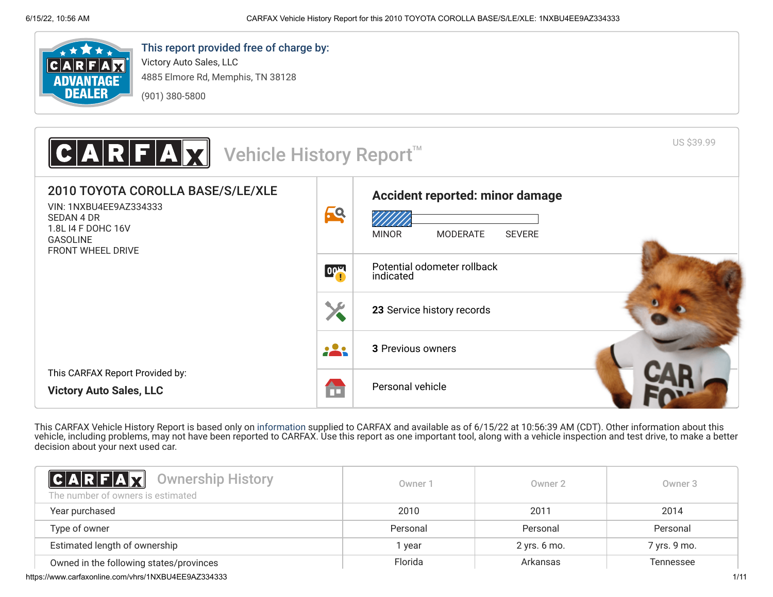

# This report provided free of charge by:

Victory Auto Sales, LLC 4885 Elmore Rd, Memphis, TN 38128 (901) 380-5800



This CARFAX Vehicle History Report is based only on [information](http://www.carfax.com/company/vhr-data-sources) supplied to CARFAX and available as of 6/15/22 at 10:56:39 AM (CDT). Other information about this vehicle, including problems, may not have been reported to CARFAX. Use this report as one important tool, along with a vehicle inspection and test drive, to make a better decision about your next used car.

<span id="page-0-0"></span>

| <b>CARFAX</b> Ownership History<br>The number of owners is estimated | Owner 1  | Owner 2      | Owner 3          |
|----------------------------------------------------------------------|----------|--------------|------------------|
| Year purchased                                                       | 2010     | 2011         | 2014             |
| Type of owner                                                        | Personal | Personal     | Personal         |
| Estimated length of ownership                                        | year     | 2 yrs. 6 mo. | 7 yrs. 9 mo.     |
| Owned in the following states/provinces                              | Florida  | Arkansas     | <b>Tennessee</b> |

https://www.carfaxonline.com/vhrs/1NXBU4EE9AZ334333 1/11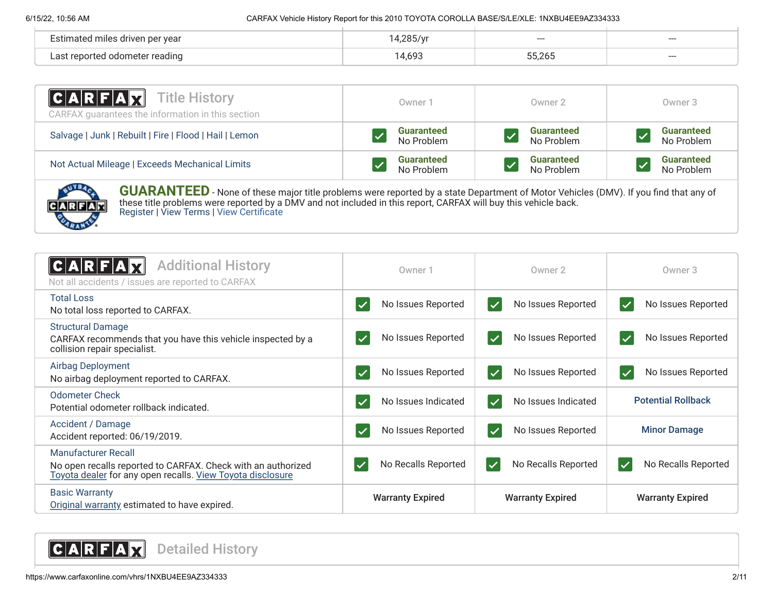| Estimated miles driven per year |     | $--$   | ---   |
|---------------------------------|-----|--------|-------|
| Last reported odometer reading  | 693 | 55.26F | $---$ |

| <b>CARFAX</b> Title History<br>CARFAX guarantees the information in this section | Owner 1           | Owner 2           | Owner 3           |
|----------------------------------------------------------------------------------|-------------------|-------------------|-------------------|
| Salvage   Junk   Rebuilt   Fire   Flood   Hail   Lemon                           | <b>Guaranteed</b> | <b>Guaranteed</b> | <b>Guaranteed</b> |
|                                                                                  | No Problem        | No Problem        | No Problem        |
| Not Actual Mileage   Exceeds Mechanical Limits                                   | <b>Guaranteed</b> | <b>Guaranteed</b> | <b>Guaranteed</b> |
|                                                                                  | No Problem        | No Problem        | No Problem        |



**GUARANTEED** - None of these major title problems were reported by a state Department of Motor Vehicles (DMV). If you find that any of these title problems were reported by a DMV and not included in this report, CARFAX will buy this vehicle back. [Register](https://www.carfax.com/Service/bbg) | [View Terms](http://www.carfaxonline.com/legal/bbgTerms) | [View Certificate](https://www.carfaxonline.com/vhrs/1NXBU4EE9AZ334333)

<span id="page-1-1"></span><span id="page-1-0"></span>

| <b>Additional History</b><br>Not all accidents / issues are reported to CARFAX                                                                           | Owner 1                            | Owner 2                                       | Owner 3                                         |
|----------------------------------------------------------------------------------------------------------------------------------------------------------|------------------------------------|-----------------------------------------------|-------------------------------------------------|
| <b>Total Loss</b>                                                                                                                                        | No Issues Reported                 | No Issues Reported                            | No Issues Reported                              |
| No total loss reported to CARFAX.                                                                                                                        |                                    | $\vert \checkmark$                            | $\blacktriangledown$                            |
| <b>Structural Damage</b><br>CARFAX recommends that you have this vehicle inspected by a<br>collision repair specialist.                                  | No Issues Reported<br>$\checkmark$ | No Issues Reported<br>$\overline{\checkmark}$ | No Issues Reported<br>$\blacktriangledown$      |
| Airbag Deployment                                                                                                                                        | No Issues Reported                 | No Issues Reported                            | No Issues Reported                              |
| No airbag deployment reported to CARFAX.                                                                                                                 |                                    | $\overline{\checkmark}$                       | $\overline{\mathsf{v}}$                         |
| Odometer Check                                                                                                                                           | No Issues Indicated                | No Issues Indicated                           | <b>Potential Rollback</b>                       |
| Potential odometer rollback indicated.                                                                                                                   | $\checkmark$                       | $\overline{\checkmark}$                       |                                                 |
| Accident / Damage                                                                                                                                        | No Issues Reported                 | No Issues Reported                            | <b>Minor Damage</b>                             |
| Accident reported: 06/19/2019.                                                                                                                           | $\checkmark$                       | $\blacktriangledown$                          |                                                 |
| <b>Manufacturer Recall</b><br>No open recalls reported to CARFAX. Check with an authorized<br>Toyota dealer for any open recalls. View Toyota disclosure | No Recalls Reported                | No Recalls Reported<br>$\checkmark$           | No Recalls Reported<br>$\overline{\mathcal{L}}$ |
| <b>Basic Warranty</b><br>Original warranty estimated to have expired.                                                                                    | <b>Warranty Expired</b>            | <b>Warranty Expired</b>                       | <b>Warranty Expired</b>                         |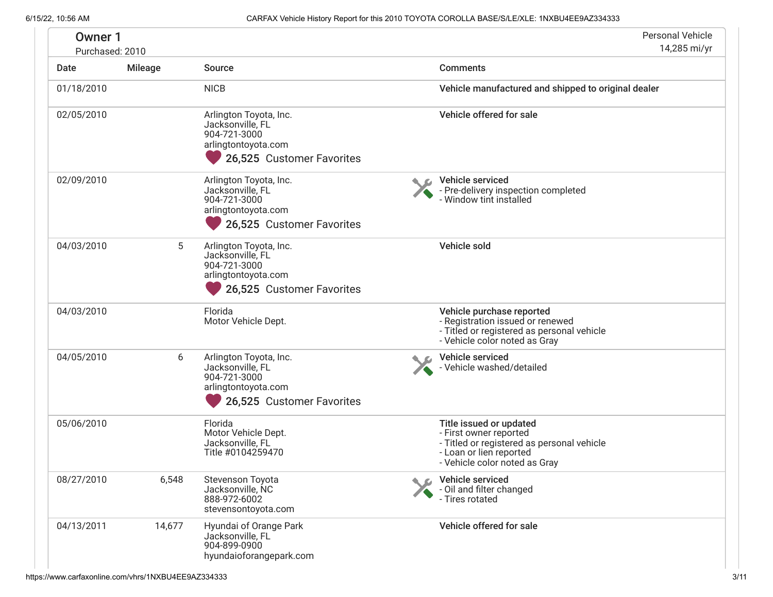| <b>Owner 1</b><br>Purchased: 2010 |                |                                                                                                                | <b>Personal Vehicle</b><br>14,285 mi/yr                                                                                                                     |
|-----------------------------------|----------------|----------------------------------------------------------------------------------------------------------------|-------------------------------------------------------------------------------------------------------------------------------------------------------------|
| Date                              | <b>Mileage</b> | Source                                                                                                         | <b>Comments</b>                                                                                                                                             |
| 01/18/2010                        |                | <b>NICB</b>                                                                                                    | Vehicle manufactured and shipped to original dealer                                                                                                         |
| 02/05/2010                        |                | Arlington Toyota, Inc.<br>Jacksonville, FL<br>904-721-3000<br>arlingtontoyota.com<br>26,525 Customer Favorites | Vehicle offered for sale                                                                                                                                    |
| 02/09/2010                        |                | Arlington Toyota, Inc.<br>Jacksonville, FL<br>904-721-3000<br>arlingtontoyota.com<br>26,525 Customer Favorites | Vehicle serviced<br>- Pre-delivery inspection completed<br>- Window tint installed                                                                          |
| 04/03/2010                        | 5              | Arlington Toyota, Inc.<br>Jacksonville, FL<br>904-721-3000<br>arlingtontoyota.com<br>26,525 Customer Favorites | Vehicle sold                                                                                                                                                |
| 04/03/2010                        |                | Florida<br>Motor Vehicle Dept.                                                                                 | Vehicle purchase reported<br>- Registration issued or renewed<br>- Titled or registered as personal vehicle<br>- Vehicle color noted as Gray                |
| 04/05/2010                        | 6              | Arlington Toyota, Inc.<br>Jacksonville, FL<br>904-721-3000<br>arlingtontoyota.com<br>26,525 Customer Favorites | Vehicle serviced<br>- Vehicle washed/detailed                                                                                                               |
| 05/06/2010                        |                | Florida<br>Motor Vehicle Dept.<br>Jacksonville, FL<br>Title #0104259470                                        | Title issued or updated<br>- First owner reported<br>- Titled or registered as personal vehicle<br>- Loan or lien reported<br>- Vehicle color noted as Gray |
| 08/27/2010                        | 6,548          | Stevenson Toyota<br>Jacksonville, NC<br>888-972-6002<br>stevensontoyota.com                                    | Vehicle serviced<br>- Oil and filter changed<br>- Tires rotated                                                                                             |
| 04/13/2011                        | 14,677         | Hyundai of Orange Park<br>Jacksonville, FL<br>904-899-0900<br>hyundaioforangepark.com                          | Vehicle offered for sale                                                                                                                                    |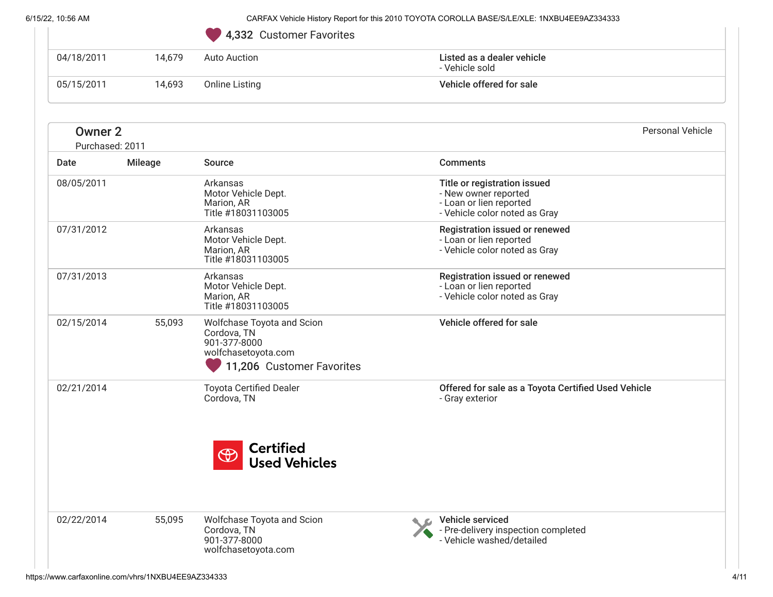|  | 4,332 Customer Favorites |  |
|--|--------------------------|--|
|  |                          |  |

|                         |                | 4,332 Customer Favorites                                                                                      |                                                                                                                  |
|-------------------------|----------------|---------------------------------------------------------------------------------------------------------------|------------------------------------------------------------------------------------------------------------------|
| 04/18/2011              | 14,679         | <b>Auto Auction</b>                                                                                           | Listed as a dealer vehicle<br>- Vehicle sold                                                                     |
| 05/15/2011              | 14,693         | <b>Online Listing</b>                                                                                         | Vehicle offered for sale                                                                                         |
| <b>Owner 2</b>          |                |                                                                                                               | <b>Personal Vehicle</b>                                                                                          |
| Purchased: 2011<br>Date | <b>Mileage</b> | Source                                                                                                        | <b>Comments</b>                                                                                                  |
| 08/05/2011              |                | Arkansas<br>Motor Vehicle Dept.<br>Marion, AR<br>Title #18031103005                                           | Title or registration issued<br>- New owner reported<br>- Loan or lien reported<br>- Vehicle color noted as Gray |
| 07/31/2012              |                | Arkansas<br>Motor Vehicle Dept.<br>Marion, AR<br>Title #18031103005                                           | Registration issued or renewed<br>- Loan or lien reported<br>- Vehicle color noted as Gray                       |
| 07/31/2013              |                | Arkansas<br>Motor Vehicle Dept.<br>Marion, AR<br>Title #18031103005                                           | Registration issued or renewed<br>- Loan or lien reported<br>- Vehicle color noted as Gray                       |
| 02/15/2014              | 55,093         | Wolfchase Toyota and Scion<br>Cordova, TN<br>901-377-8000<br>wolfchasetoyota.com<br>11,206 Customer Favorites | Vehicle offered for sale                                                                                         |
| 02/21/2014              |                | <b>Toyota Certified Dealer</b><br>Cordova, TN                                                                 | Offered for sale as a Toyota Certified Used Vehicle<br>- Gray exterior                                           |
|                         |                | <b>Certified</b><br>$\bigoplus$<br><b>Used Vehicles</b>                                                       |                                                                                                                  |
| 02/22/2014              | 55,095         | Wolfchase Toyota and Scion<br>Cordova, TN<br>901-377-8000<br>wolfchasetoyota.com                              | Vehicle serviced<br>- Pre-delivery inspection completed<br>- Vehicle washed/detailed                             |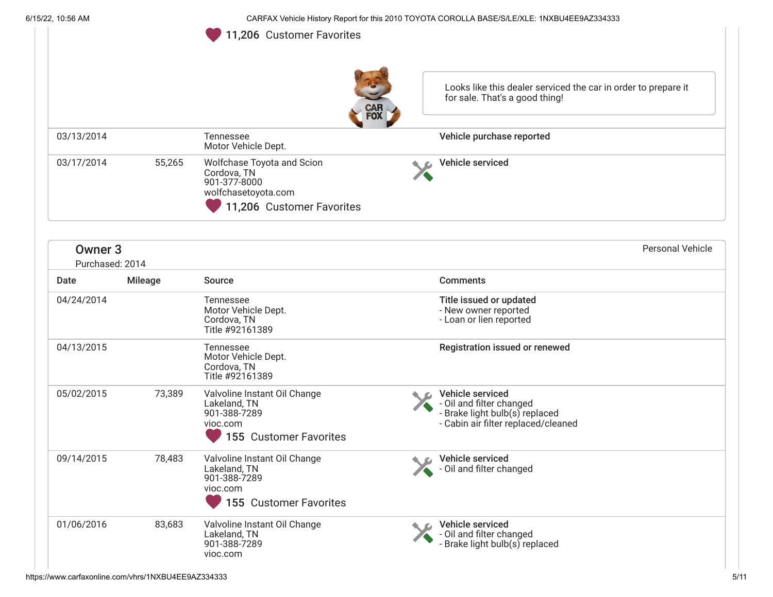<span id="page-4-0"></span>Looks like this dealer serviced the car in order to prepare it for sale. That's a good thing! 03/13/2014 Tennessee Motor Vehicle Dept. Vehicle purchase reported 03/17/2014 55,265 Wolfchase Toyota and Scion Cordova, TN 901-377-8000 wolfchasetoyota.com Vehicle serviced Owner 3 Purchased: 2014 Personal Vehicle Date Mileage Source Comments 04/24/2014 Tennessee Motor Vehicle Dept. Cordova, TN Title #92161389 Title issued or updated - New owner reported - Loan or lien reported 04/13/2015 Tennessee Motor Vehicle Dept. Cordova, TN Title #92161389 Registration issued or renewed 05/02/2015 73,389 Valvoline Instant Oil Change Lakeland, TN 901-388-7289 vioc.com Vehicle serviced - Oil and filter changed - Brake light bulb(s) replaced - Cabin air filter replaced/cleaned 09/14/2015 78,483 Valvoline Instant Oil Change Lakeland, TN 901-388-7289 vioc.com Vehicle serviced - Oil and filter changed 01/06/2016 83,683 Valvoline Instant Oil Change Lakeland, TN 901-388-7289 vioc.com Vehicle serviced - Oil and filter changed - Brake light bulb(s) replaced 11,206 Customer Favorites 11,206 Customer Favorites <sup>155</sup> Customer Favorites <sup>155</sup> Customer Favorites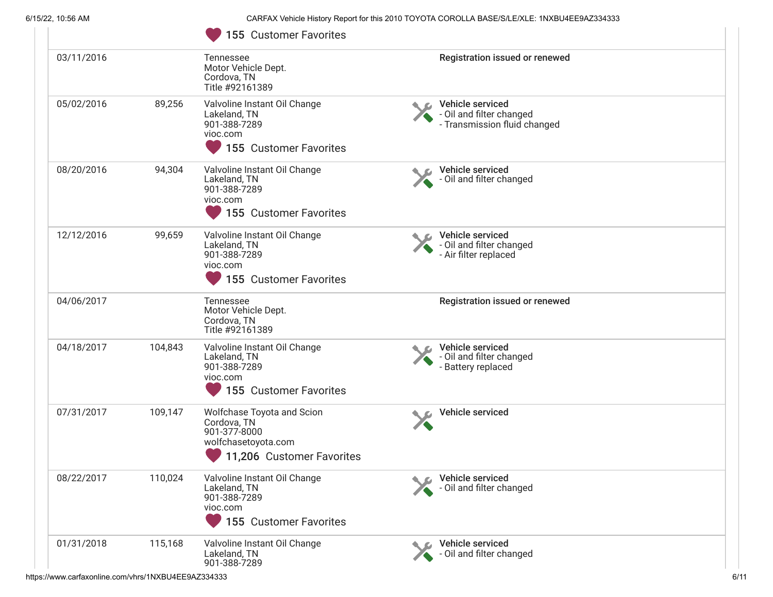|            |         | 155 Customer Favorites                                                                                        |                                                                              |  |
|------------|---------|---------------------------------------------------------------------------------------------------------------|------------------------------------------------------------------------------|--|
| 03/11/2016 |         | Tennessee<br>Motor Vehicle Dept.<br>Cordova, TN<br>Title #92161389                                            | Registration issued or renewed                                               |  |
| 05/02/2016 | 89,256  | Valvoline Instant Oil Change<br>Lakeland, TN<br>901-388-7289<br>vioc.com<br>155 Customer Favorites            | Vehicle serviced<br>- Oil and filter changed<br>- Transmission fluid changed |  |
| 08/20/2016 | 94,304  | Valvoline Instant Oil Change<br>Lakeland, TN<br>901-388-7289<br>vioc.com<br>155 Customer Favorites            | Vehicle serviced<br>- Oil and filter changed                                 |  |
| 12/12/2016 | 99,659  | Valvoline Instant Oil Change<br>Lakeland, TN<br>901-388-7289<br>vioc.com<br>155 Customer Favorites            | Vehicle serviced<br>- Oil and filter changed<br>- Air filter replaced        |  |
| 04/06/2017 |         | Tennessee<br>Motor Vehicle Dept.<br>Cordova, TN<br>Title #92161389                                            | Registration issued or renewed                                               |  |
| 04/18/2017 | 104,843 | Valvoline Instant Oil Change<br>Lakeland, TN<br>901-388-7289<br>vioc.com<br>155 Customer Favorites            | Vehicle serviced<br>- Oil and filter changed<br>- Battery replaced           |  |
| 07/31/2017 | 109,147 | Wolfchase Toyota and Scion<br>Cordova, TN<br>901-377-8000<br>wolfchasetoyota.com<br>11,206 Customer Favorites | Vehicle serviced                                                             |  |
| 08/22/2017 | 110,024 | Valvoline Instant Oil Change<br>Lakeland, TN<br>901-388-7289<br>vioc.com<br>155 Customer Favorites            | Vehicle serviced<br>- Oil and filter changed                                 |  |
| 01/31/2018 | 115,168 | Valvoline Instant Oil Change<br>Lakeland, TN<br>901-388-7289                                                  | Vehicle serviced<br>- Oil and filter changed                                 |  |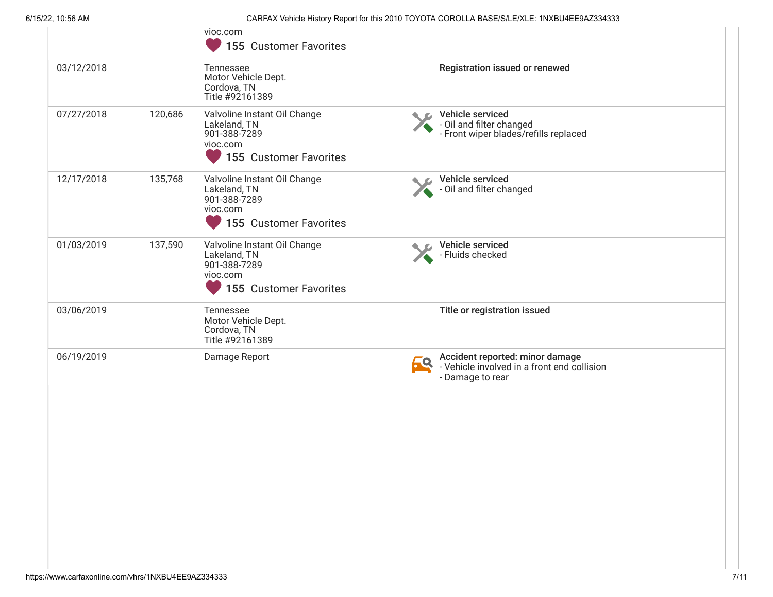$\sim$ 

6/15/22, 10:56 AM CARFAX Vehicle History Report for this 2010 TOYOTA COROLLA BASE/S/LE/XLE: 1NXBU4EE9AZ334333

| 155 Customer Favorites                                                                                                                                                      |
|-----------------------------------------------------------------------------------------------------------------------------------------------------------------------------|
| Registration issued or renewed<br>Motor Vehicle Dept.<br>Cordova, TN<br>Title #92161389                                                                                     |
| Valvoline Instant Oil Change<br>Vehicle serviced<br>- Oil and filter changed<br>- Cil and filter changed<br>- Front wiper blades/refills replaced<br>155 Customer Favorites |
| Vehicle serviced<br>Valvoline Instant Oil Change<br>- Oil and filter changed<br>155 Customer Favorites                                                                      |
| Valvoline Instant Oil Change<br>Vehicle serviced<br>- Fluids checked<br>155 Customer Favorites                                                                              |
| Title or registration issued<br>Motor Vehicle Dept.<br>Title #92161389                                                                                                      |
| Damage Report<br>Accident reported: minor damage<br>69<br>- Vehicle involved in a front end collision<br>- Damage to rear                                                   |
|                                                                                                                                                                             |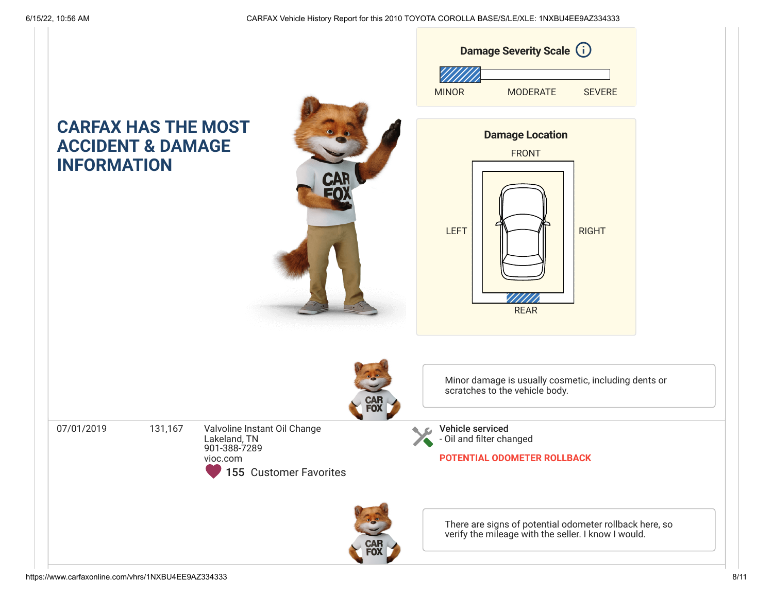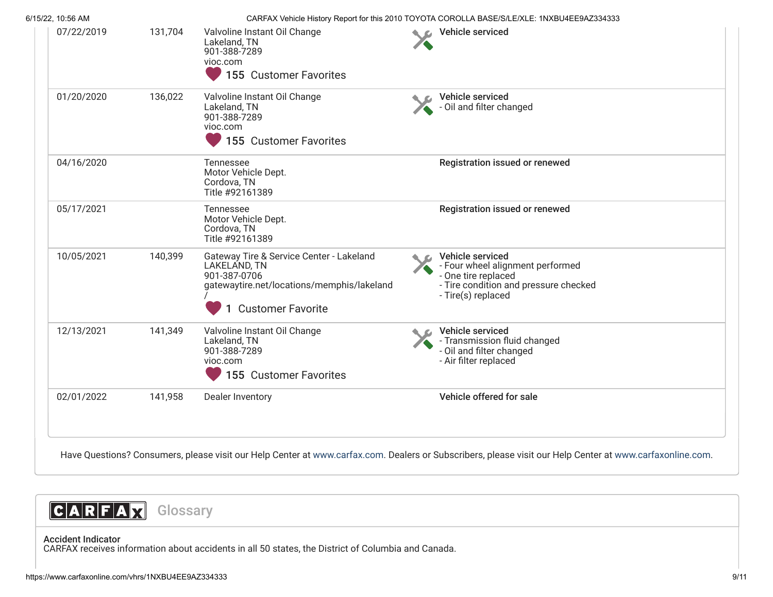| 6/15/22, 10:56 AM |         |                                                                                                                                                    |                | CARFAX Vehicle History Report for this 2010 TOYOTA COROLLA BASE/S/LE/XLE: 1NXBU4EE9AZ334333                                                |
|-------------------|---------|----------------------------------------------------------------------------------------------------------------------------------------------------|----------------|--------------------------------------------------------------------------------------------------------------------------------------------|
| 07/22/2019        | 131,704 | Valvoline Instant Oil Change<br>Lakeland, TN<br>901-388-7289<br>vioc.com<br>155 Customer Favorites                                                 | $\blacksquare$ | <b>Vehicle serviced</b>                                                                                                                    |
| 01/20/2020        | 136,022 | Valvoline Instant Oil Change<br>Lakeland, TN<br>901-388-7289<br>vioc.com<br>155 Customer Favorites                                                 |                | Vehicle serviced<br>- Oil and filter changed                                                                                               |
| 04/16/2020        |         | Tennessee<br>Motor Vehicle Dept.<br>Cordova, TN<br>Title #92161389                                                                                 |                | <b>Registration issued or renewed</b>                                                                                                      |
| 05/17/2021        |         | Tennessee<br>Motor Vehicle Dept.<br>Cordova, TN<br>Title #92161389                                                                                 |                | Registration issued or renewed                                                                                                             |
| 10/05/2021        | 140,399 | Gateway Tire & Service Center - Lakeland<br>LAKELAND, TN<br>901-387-0706<br>gatewaytire.net/locations/memphis/lakeland<br><b>Customer Favorite</b> |                | Vehicle serviced<br>- Four wheel alignment performed<br>- One tire replaced<br>- Tire condition and pressure checked<br>- Tire(s) replaced |
| 12/13/2021        | 141,349 | Valvoline Instant Oil Change<br>Lakeland, TN<br>901-388-7289<br>vioc.com<br>155 Customer Favorites                                                 |                | Vehicle serviced<br>- Transmission fluid changed<br>- Oil and filter changed<br>- Air filter replaced                                      |
|                   | 141,958 | Dealer Inventory                                                                                                                                   |                | Vehicle offered for sale                                                                                                                   |



# <span id="page-8-0"></span>Accident Indicator

CARFAX receives information about accidents in all 50 states, the District of Columbia and Canada.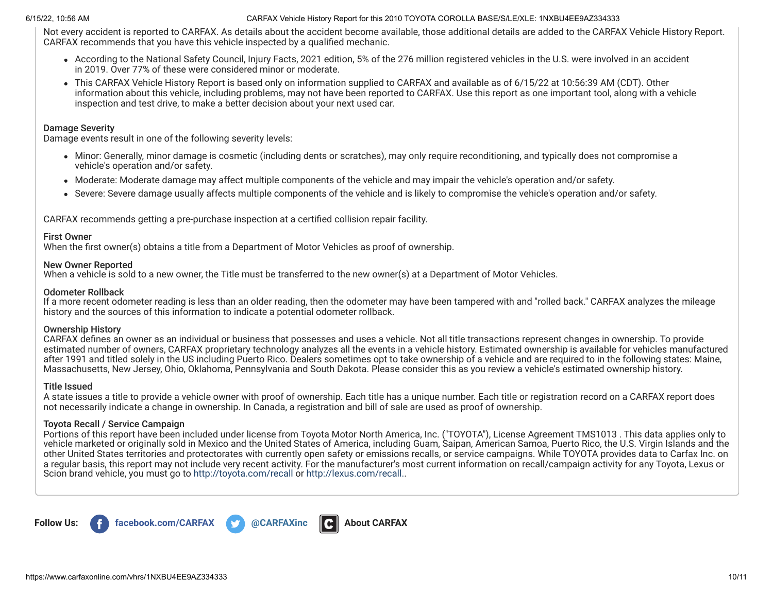Not every accident is reported to CARFAX. As details about the accident become available, those additional details are added to the CARFAX Vehicle History Report. CARFAX recommends that you have this vehicle inspected by a qualified mechanic.

- According to the National Safety Council, Injury Facts, 2021 edition, 5% of the 276 million registered vehicles in the U.S. were involved in an accident in 2019. Over 77% of these were considered minor or moderate.
- This CARFAX Vehicle History Report is based only on information supplied to CARFAX and available as of 6/15/22 at 10:56:39 AM (CDT). Other information about this vehicle, including problems, may not have been reported to CARFAX. Use this report as one important tool, along with a vehicle inspection and test drive, to make a better decision about your next used car.

## Damage Severity

Damage events result in one of the following severity levels:

- Minor: Generally, minor damage is cosmetic (including dents or scratches), may only require reconditioning, and typically does not compromise a vehicle's operation and/or safety.
- Moderate: Moderate damage may affect multiple components of the vehicle and may impair the vehicle's operation and/or safety.
- Severe: Severe damage usually affects multiple components of the vehicle and is likely to compromise the vehicle's operation and/or safety.

CARFAX recommends getting a pre-purchase inspection at a certified collision repair facility.

## First Owner

When the first owner(s) obtains a title from a Department of Motor Vehicles as proof of ownership.

## New Owner Reported

When a vehicle is sold to a new owner, the Title must be transferred to the new owner(s) at a Department of Motor Vehicles.

## Odometer Rollback

If a more recent odometer reading is less than an older reading, then the odometer may have been tampered with and "rolled back." CARFAX analyzes the mileage history and the sources of this information to indicate a potential odometer rollback.

## Ownership History

CARFAX defines an owner as an individual or business that possesses and uses a vehicle. Not all title transactions represent changes in ownership. To provide estimated number of owners, CARFAX proprietary technology analyzes all the events in a vehicle history. Estimated ownership is available for vehicles manufactured after 1991 and titled solely in the US including Puerto Rico. Dealers sometimes opt to take ownership of a vehicle and are required to in the following states: Maine, Massachusetts, New Jersey, Ohio, Oklahoma, Pennsylvania and South Dakota. Please consider this as you review a vehicle's estimated ownership history.

## Title Issued

A state issues a title to provide a vehicle owner with proof of ownership. Each title has a unique number. Each title or registration record on a CARFAX report does not necessarily indicate a change in ownership. In Canada, a registration and bill of sale are used as proof of ownership.

## Toyota Recall / Service Campaign

Portions of this report have been included under license from Toyota Motor North America, Inc. ("TOYOTA"), License Agreement TMS1013 . This data applies only to vehicle marketed or originally sold in Mexico and the United States of America, including Guam, Saipan, American Samoa, Puerto Rico, the U.S. Virgin Islands and the other United States territories and protectorates with currently open safety or emissions recalls, or service campaigns. While TOYOTA provides data to Carfax Inc. on a regular basis, this report may not include very recent activity. For the manufacturer's most current information on recall/campaign activity for any Toyota, Lexus or Scion brand vehicle, you must go to <http://toyota.com/recall> or [http://lexus.com/recall.](http://lexus.com/recall).